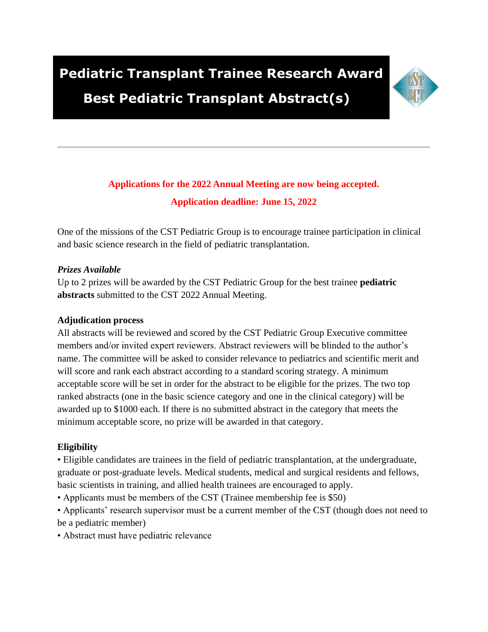# **Pediatric Transplant Trainee Research Award**



## **Best Pediatric Transplant Abstract(s)**

### **Applications for the 2022 Annual Meeting are now being accepted. Application deadline: June 15, 2022**

One of the missions of the CST Pediatric Group is to encourage trainee participation in clinical and basic science research in the field of pediatric transplantation.

#### *Prizes Available*

Up to 2 prizes will be awarded by the CST Pediatric Group for the best trainee **pediatric abstracts** submitted to the CST 2022 Annual Meeting.

#### **Adjudication process**

All abstracts will be reviewed and scored by the CST Pediatric Group Executive committee members and/or invited expert reviewers. Abstract reviewers will be blinded to the author's name. The committee will be asked to consider relevance to pediatrics and scientific merit and will score and rank each abstract according to a standard scoring strategy. A minimum acceptable score will be set in order for the abstract to be eligible for the prizes. The two top ranked abstracts (one in the basic science category and one in the clinical category) will be awarded up to \$1000 each. If there is no submitted abstract in the category that meets the minimum acceptable score, no prize will be awarded in that category.

#### **Eligibility**

• Eligible candidates are trainees in the field of pediatric transplantation, at the undergraduate, graduate or post-graduate levels. Medical students, medical and surgical residents and fellows, basic scientists in training, and allied health trainees are encouraged to apply.

• Applicants must be members of the CST (Trainee membership fee is \$50)

• Applicants' research supervisor must be a current member of the CST (though does not need to be a pediatric member)

• Abstract must have pediatric relevance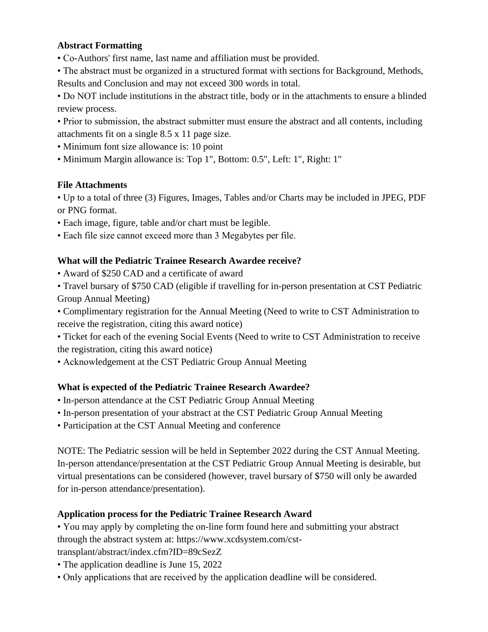#### **Abstract Formatting**

• Co-Authors' first name, last name and affiliation must be provided.

• The abstract must be organized in a structured format with sections for Background, Methods, Results and Conclusion and may not exceed 300 words in total.

• Do NOT include institutions in the abstract title, body or in the attachments to ensure a blinded review process.

- Prior to submission, the abstract submitter must ensure the abstract and all contents, including attachments fit on a single 8.5 x 11 page size.
- Minimum font size allowance is: 10 point
- Minimum Margin allowance is: Top 1", Bottom: 0.5", Left: 1", Right: 1"

#### **File Attachments**

• Up to a total of three (3) Figures, Images, Tables and/or Charts may be included in JPEG, PDF or PNG format.

- Each image, figure, table and/or chart must be legible.
- Each file size cannot exceed more than 3 Megabytes per file.

#### **What will the Pediatric Trainee Research Awardee receive?**

- Award of \$250 CAD and a certificate of award
- Travel bursary of \$750 CAD (eligible if travelling for in-person presentation at CST Pediatric Group Annual Meeting)

• Complimentary registration for the Annual Meeting (Need to write to CST Administration to receive the registration, citing this award notice)

- Ticket for each of the evening Social Events (Need to write to CST Administration to receive the registration, citing this award notice)
- Acknowledgement at the CST Pediatric Group Annual Meeting

#### **What is expected of the Pediatric Trainee Research Awardee?**

- In-person attendance at the CST Pediatric Group Annual Meeting
- In-person presentation of your abstract at the CST Pediatric Group Annual Meeting
- Participation at the CST Annual Meeting and conference

NOTE: The Pediatric session will be held in September 2022 during the CST Annual Meeting. In-person attendance/presentation at the CST Pediatric Group Annual Meeting is desirable, but virtual presentations can be considered (however, travel bursary of \$750 will only be awarded for in-person attendance/presentation).

#### **Application process for the Pediatric Trainee Research Award**

• You may apply by completing the on-line form found here and submitting your abstract through the abstract system at: https://www.xcdsystem.com/cst-

transplant/abstract/index.cfm?ID=89cSezZ

- The application deadline is June 15, 2022
- Only applications that are received by the application deadline will be considered.